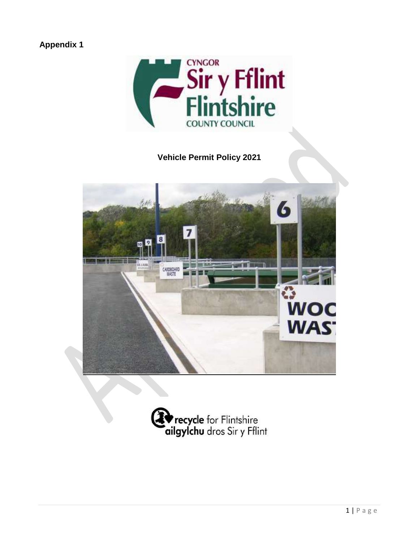# **Appendix 1**



 **Vehicle Permit Policy 2021** 



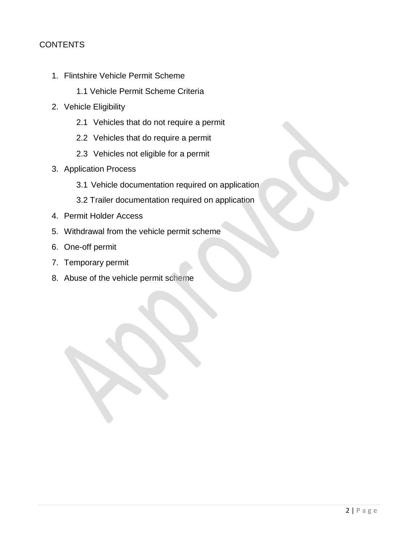# **CONTENTS**

- 1. Flintshire Vehicle Permit Scheme
	- 1.1 Vehicle Permit Scheme Criteria
- 2. Vehicle Eligibility
	- 2.1 Vehicles that do not require a permit
	- 2.2 Vehicles that do require a permit
	- 2.3 Vehicles not eligible for a permit
- 3. Application Process
	- 3.1 Vehicle documentation required on application
	- 3.2 Trailer documentation required on application
- 4. Permit Holder Access
- 5. Withdrawal from the vehicle permit scheme
- 6. One-off permit
- 7. Temporary permit
- 8. Abuse of the vehicle permit scheme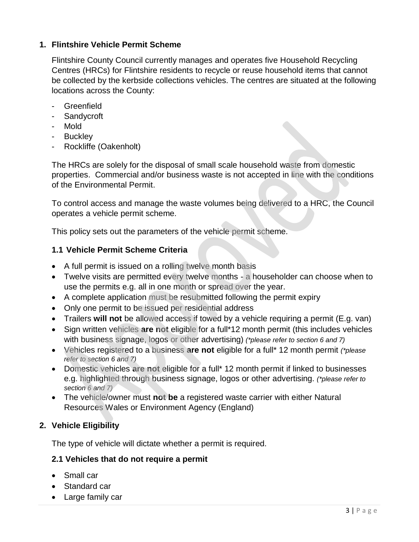# **1. Flintshire Vehicle Permit Scheme**

 Flintshire County Council currently manages and operates five Household Recycling Centres (HRCs) for Flintshire residents to recycle or reuse household items that cannot be collected by the kerbside collections vehicles. The centres are situated at the following locations across the County:

- Greenfield
- Sandycroft<br>- Mold
- Mold
- Buckley
- Rockliffe (Oakenholt)

 The HRCs are solely for the disposal of small scale household waste from domestic properties. Commercial and/or business waste is not accepted in line with the conditions of the Environmental Permit.

 To control access and manage the waste volumes being delivered to a HRC, the Council operates a vehicle permit scheme.

This policy sets out the parameters of the vehicle permit scheme.

# **1.1 Vehicle Permit Scheme Criteria**

- A full permit is issued on a rolling twelve month basis
- Twelve visits are permitted every twelve months a householder can choose when to use the permits e.g. all in one month or spread over the year.
- A complete application must be resubmitted following the permit expiry
- Only one permit to be issued per residential address
- Trailers **will not** be allowed access if towed by a vehicle requiring a permit (E.g. van)
- Sign written vehicles **are not** eligible for a full\*12 month permit (this includes vehicles with business signage, logos or other advertising) *(\*please refer to section 6 and 7)*
- Vehicles registered to a business **are not** eligible for a full\* 12 month permit *(\*please refer to section 6 and 7)*
- Domestic vehicles **are not** eligible for a full\* 12 month permit if linked to businesses e.g. highlighted through business signage, logos or other advertising. *(\*please refer to section 6 and 7)*
- The vehicle/owner must **not be** a registered waste carrier with either Natural Resources Wales or Environment Agency (England)

# **2. Vehicle Eligibility**

The type of vehicle will dictate whether a permit is required.

# **2.1 Vehicles that do not require a permit**

- Small car
- Standard car
- Large family car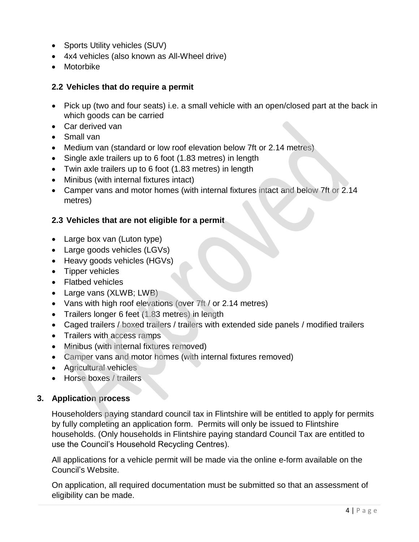- Sports Utility vehicles (SUV)
- 4x4 vehicles (also known as All-Wheel drive)
- Motorbike

### **2.2 Vehicles that do require a permit**

- Pick up (two and four seats) i.e. a small vehicle with an open/closed part at the back in which goods can be carried
- Car derived van
- Small van
- Medium van (standard or low roof elevation below 7ft or 2.14 metres)
- Single axle trailers up to 6 foot (1.83 metres) in length
- Twin axle trailers up to 6 foot (1.83 metres) in length
- Minibus (with internal fixtures intact)
- Camper vans and motor homes (with internal fixtures intact and below 7ft or 2.14 metres)

## **2.3 Vehicles that are not eligible for a permit**

- Large box van (Luton type)
- Large goods vehicles (LGVs)
- Heavy goods vehicles (HGVs)
- Tipper vehicles
- Flatbed vehicles
- Large vans (XLWB; LWB)
- Vans with high roof elevations (over 7ft / or 2.14 metres)
- Trailers longer 6 feet (1.83 metres) in length
- Caged trailers / boxed trailers / trailers with extended side panels / modified trailers
- Trailers with access ramps
- Minibus (with internal fixtures removed)
- Camper vans and motor homes (with internal fixtures removed)
- Agricultural vehicles
- Horse boxes / trailers

#### **3. Application process**

Householders paying standard council tax in Flintshire will be entitled to apply for permits by fully completing an application form. Permits will only be issued to Flintshire households. (Only households in Flintshire paying standard Council Tax are entitled to use the Council's Household Recycling Centres).

All applications for a vehicle permit will be made via the online e-form available on the Council's Website.

On application, all required documentation must be submitted so that an assessment of eligibility can be made.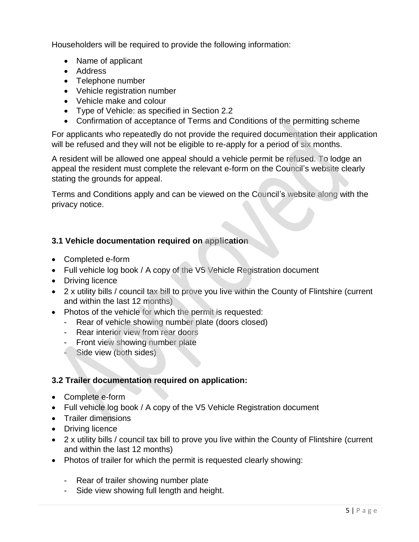Householders will be required to provide the following information:

- Name of applicant
- Address
- Telephone number
- Vehicle registration number
- Vehicle make and colour
- Type of Vehicle: as specified in Section 2.2
- Confirmation of acceptance of Terms and Conditions of the permitting scheme

For applicants who repeatedly do not provide the required documentation their application will be refused and they will not be eligible to re-apply for a period of six months.

A resident will be allowed one appeal should a vehicle permit be refused. To lodge an appeal the resident must complete the relevant e-form on the Council's website clearly stating the grounds for appeal.

Terms and Conditions apply and can be viewed on the Council's website along with the privacy notice.

#### **3.1 Vehicle documentation required on application**

- Completed e-form
- Full vehicle log book / A copy of the V5 Vehicle Registration document
- Driving licence
- 2 x utility bills / council tax bill to prove you live within the County of Flintshire (current and within the last 12 months)
- Photos of the vehicle for which the permit is requested:
	- Rear of vehicle showing number plate (doors closed)
	- Rear interior view from rear doors
	- Front view showing number plate
	- Side view (both sides)

#### **3.2 Trailer documentation required on application:**

- Complete e-form
- Full vehicle log book / A copy of the V5 Vehicle Registration document
- Trailer dimensions
- Driving licence
- 2 x utility bills / council tax bill to prove you live within the County of Flintshire (current and within the last 12 months)
- Photos of trailer for which the permit is requested clearly showing:
	- Rear of trailer showing number plate
	- Side view showing full length and height.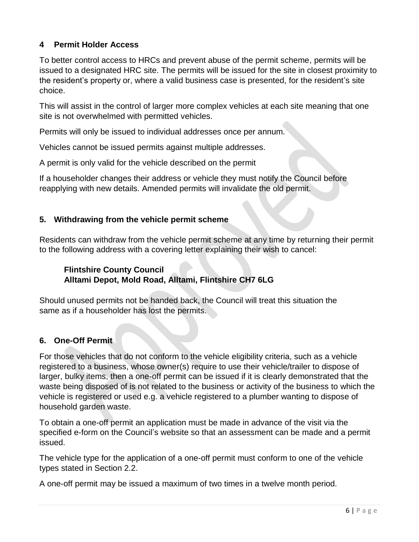# **4 Permit Holder Access**

 To better control access to HRCs and prevent abuse of the permit scheme, permits will be issued to a designated HRC site. The permits will be issued for the site in closest proximity to the resident's property or, where a valid business case is presented, for the resident's site choice.

 This will assist in the control of larger more complex vehicles at each site meaning that one site is not overwhelmed with permitted vehicles.

Permits will only be issued to individual addresses once per annum.

Vehicles cannot be issued permits against multiple addresses.

A permit is only valid for the vehicle described on the permit

If a householder changes their address or vehicle they must notify the Council before reapplying with new details. Amended permits will invalidate the old permit.

## **5. Withdrawing from the vehicle permit scheme**

Residents can withdraw from the vehicle permit scheme at any time by returning their permit to the following address with a covering letter explaining their wish to cancel:

## **Flintshire County Council Alltami Depot, Mold Road, Alltami, Flintshire CH7 6LG**

Should unused permits not be handed back, the Council will treat this situation the same as if a householder has lost the permits.

# **6. One-Off Permit**

For those vehicles that do not conform to the vehicle eligibility criteria, such as a vehicle registered to a business, whose owner(s) require to use their vehicle/trailer to dispose of larger, bulky items, then a one-off permit can be issued if it is clearly demonstrated that the waste being disposed of is not related to the business or activity of the business to which the vehicle is registered or used e.g. a vehicle registered to a plumber wanting to dispose of household garden waste.

 To obtain a one-off permit an application must be made in advance of the visit via the specified e-form on the Council's website so that an assessment can be made and a permit issued.

issued.<br>The vehicle type for the application of a one-off permit must conform to one of the vehicle types stated in Section 2.2.

A one-off permit may be issued a maximum of two times in a twelve month period.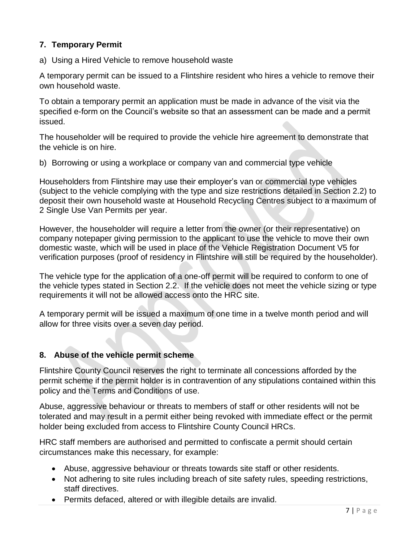a) Using a Hired Vehicle to remove household waste

 own household waste. A temporary permit can be issued to a Flintshire resident who hires a vehicle to remove their

 specified e-form on the Council's website so that an assessment can be made and a permit **7. Temporary Permit**<br>a) Using a Hired Vehic<br>A temporary permit can<br>own household waste.<br>To obtain a temporary p<br>specified e-form on the To obtain a temporary permit an application must be made in advance of the visit via the issued.

The householder will be required to provide the vehicle hire agreement to demonstrate that the vehicle is on hire.

b) Borrowing or using a workplace or company van and commercial type vehicle

Householders from Flintshire may use their employer's van or commercial type vehicles (subject to the vehicle complying with the type and size restrictions detailed in Section 2.2) to deposit their own household waste at Household Recycling Centres subject to a maximum of 2 Single Use Van Permits per year.

However, the householder will require a letter from the owner (or their representative) on company notepaper giving permission to the applicant to use the vehicle to move their own domestic waste, which will be used in place of the Vehicle Registration Document V5 for verification purposes (proof of residency in Flintshire will still be required by the householder).

The vehicle type for the application of a one-off permit will be required to conform to one of the vehicle types stated in Section 2.2. If the vehicle does not meet the vehicle sizing or type requirements it will not be allowed access onto the HRC site.

A temporary permit will be issued a maximum of one time in a twelve month period and will allow for three visits over a seven day period.

# **8. Abuse of the vehicle permit scheme**

Flintshire County Council reserves the right to terminate all concessions afforded by the permit scheme if the permit holder is in contravention of any stipulations contained within this policy and the Terms and Conditions of use.

 holder being excluded from access to Flintshire County Council HRCs. Abuse, aggressive behaviour or threats to members of staff or other residents will not be tolerated and may result in a permit either being revoked with immediate effect or the permit

HRC staff members are authorised and permitted to confiscate a permit should certain circumstances make this necessary, for example:

- Abuse, aggressive behaviour or threats towards site staff or other residents.
- Not adhering to site rules including breach of site safety rules, speeding restrictions, staff directives.
- Permits defaced, altered or with illegible details are invalid.